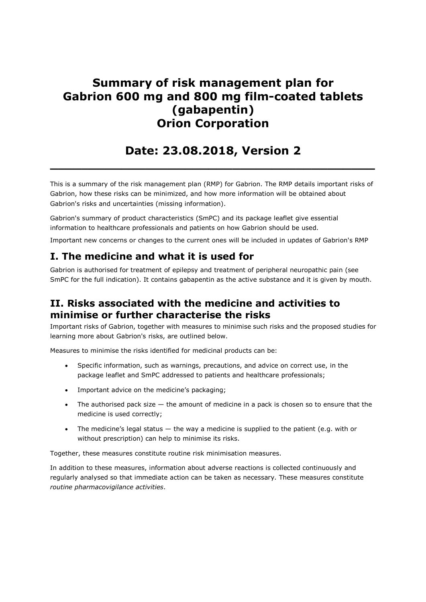# Summary of risk management plan for Gabrion 600 mg and 800 mg film-coated tablets (gabapentin) Orion Corporation

# Date: 23.08.2018, Version 2

 $\_$  , and the set of the set of the set of the set of the set of the set of the set of the set of the set of the set of the set of the set of the set of the set of the set of the set of the set of the set of the set of th

This is a summary of the risk management plan (RMP) for Gabrion. The RMP details important risks of Gabrion, how these risks can be minimized, and how more information will be obtained about Gabrion's risks and uncertainties (missing information).

Gabrion's summary of product characteristics (SmPC) and its package leaflet give essential information to healthcare professionals and patients on how Gabrion should be used.

Important new concerns or changes to the current ones will be included in updates of Gabrion's RMP

## I. The medicine and what it is used for

Gabrion is authorised for treatment of epilepsy and treatment of peripheral neuropathic pain (see SmPC for the full indication). It contains gabapentin as the active substance and it is given by mouth.

### II. Risks associated with the medicine and activities to minimise or further characterise the risks

Important risks of Gabrion, together with measures to minimise such risks and the proposed studies for learning more about Gabrion's risks, are outlined below.

Measures to minimise the risks identified for medicinal products can be:

- Specific information, such as warnings, precautions, and advice on correct use, in the package leaflet and SmPC addressed to patients and healthcare professionals;
- Important advice on the medicine's packaging;
- The authorised pack size the amount of medicine in a pack is chosen so to ensure that the medicine is used correctly;
- The medicine's legal status the way a medicine is supplied to the patient (e.g. with or without prescription) can help to minimise its risks.

Together, these measures constitute routine risk minimisation measures.

In addition to these measures, information about adverse reactions is collected continuously and regularly analysed so that immediate action can be taken as necessary. These measures constitute routine pharmacovigilance activities.